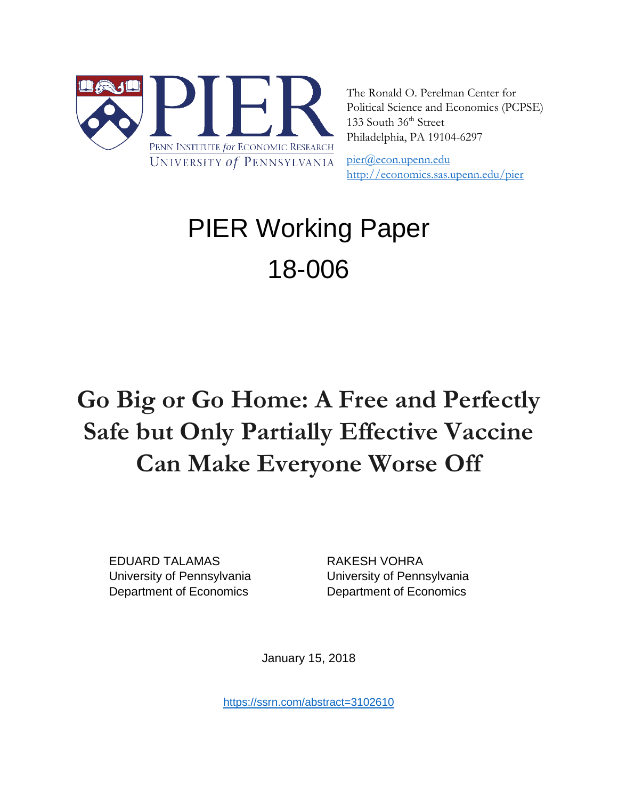

The Ronald O. Perelman Center for Political Science and Economics (PCPSE) 133 South 36<sup>th</sup> Street Philadelphia, PA 19104-6297

[pier@econ.upenn.edu](mailto:pier@econ.upenn.edu)  <http://economics.sas.upenn.edu/pier>

# PIER Working Paper 18-006

## **Go Big or Go Home: A Free and Perfectly Safe but Only Partially Effective Vaccine Can Make Everyone Worse Off**

EDUARD TALAMAS RAKESH VOHRA Department of Economics Department of Economics

University of Pennsylvania University of Pennsylvania

January 15, 2018

<https://ssrn.com/abstract=3102610>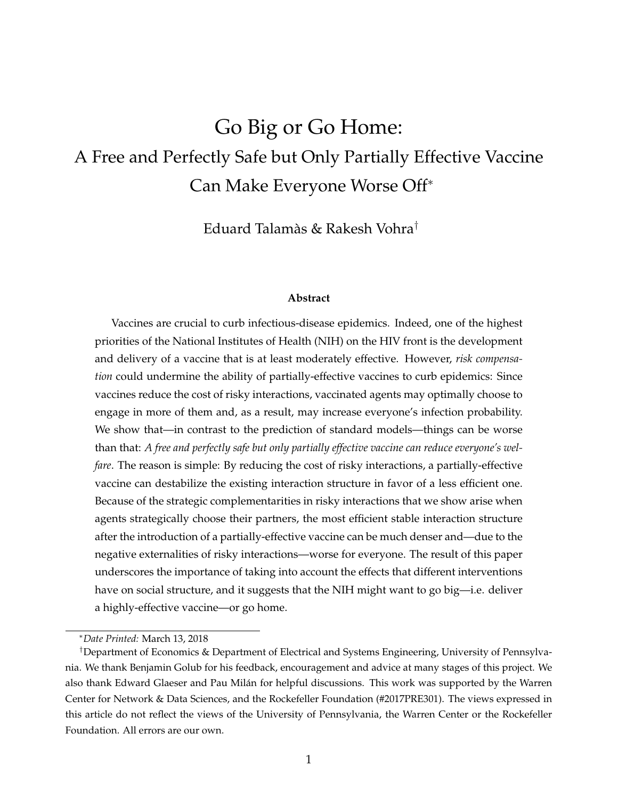### Go Big or Go Home: A Free and Perfectly Safe but Only Partially Effective Vaccine Can Make Everyone Worse Off<sup>∗</sup>

Eduard Talamàs & Rakesh Vohra†

#### **Abstract**

Vaccines are crucial to curb infectious-disease epidemics. Indeed, one of the highest priorities of the National Institutes of Health (NIH) on the HIV front is the development and delivery of a vaccine that is at least moderately effective. However, *risk compensation* could undermine the ability of partially-effective vaccines to curb epidemics: Since vaccines reduce the cost of risky interactions, vaccinated agents may optimally choose to engage in more of them and, as a result, may increase everyone's infection probability. We show that—in contrast to the prediction of standard models—things can be worse than that: *A free and perfectly safe but only partially effective vaccine can reduce everyone's welfare*. The reason is simple: By reducing the cost of risky interactions, a partially-effective vaccine can destabilize the existing interaction structure in favor of a less efficient one. Because of the strategic complementarities in risky interactions that we show arise when agents strategically choose their partners, the most efficient stable interaction structure after the introduction of a partially-effective vaccine can be much denser and—due to the negative externalities of risky interactions—worse for everyone. The result of this paper underscores the importance of taking into account the effects that different interventions have on social structure, and it suggests that the NIH might want to go big—i.e. deliver a highly-effective vaccine—or go home.

<sup>∗</sup>*Date Printed:* March 13, 2018

<sup>†</sup>Department of Economics & Department of Electrical and Systems Engineering, University of Pennsylvania. We thank Benjamin Golub for his feedback, encouragement and advice at many stages of this project. We also thank Edward Glaeser and Pau Milán for helpful discussions. This work was supported by the Warren Center for Network & Data Sciences, and the Rockefeller Foundation (#2017PRE301). The views expressed in this article do not reflect the views of the University of Pennsylvania, the Warren Center or the Rockefeller Foundation. All errors are our own.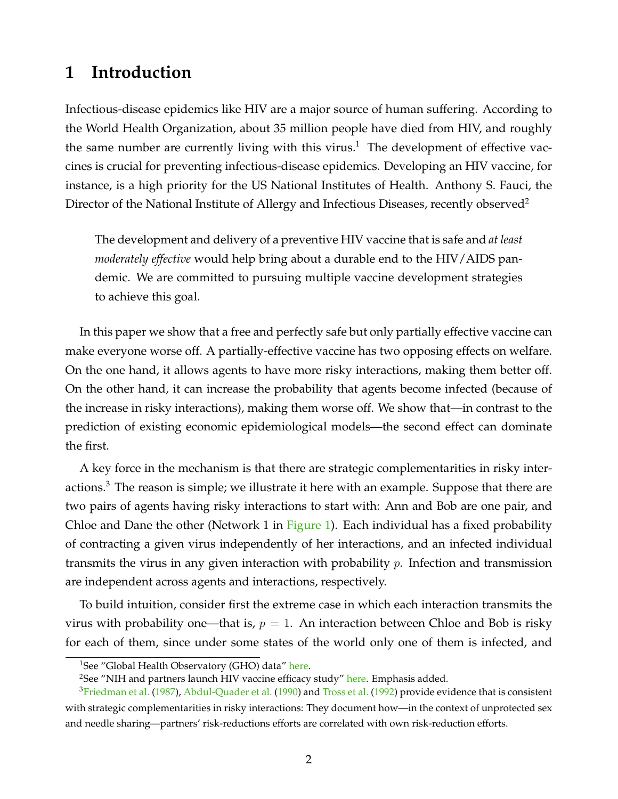#### <span id="page-2-3"></span>**1 Introduction**

Infectious-disease epidemics like HIV are a major source of human suffering. According to the World Health Organization, about 35 million people have died from HIV, and roughly the same number are currently living with this virus.<sup>[1](#page-2-0)</sup> The development of effective vaccines is crucial for preventing infectious-disease epidemics. Developing an HIV vaccine, for instance, is a high priority for the US National Institutes of Health. Anthony S. Fauci, the Director of the National Institute of Allergy and Infectious Diseases, recently observed<sup>[2](#page-2-1)</sup>

The development and delivery of a preventive HIV vaccine that is safe and *at least moderately effective* would help bring about a durable end to the HIV/AIDS pandemic. We are committed to pursuing multiple vaccine development strategies to achieve this goal.

In this paper we show that a free and perfectly safe but only partially effective vaccine can make everyone worse off. A partially-effective vaccine has two opposing effects on welfare. On the one hand, it allows agents to have more risky interactions, making them better off. On the other hand, it can increase the probability that agents become infected (because of the increase in risky interactions), making them worse off. We show that—in contrast to the prediction of existing economic epidemiological models—the second effect can dominate the first.

A key force in the mechanism is that there are strategic complementarities in risky inter-actions.<sup>[3](#page-2-2)</sup> The reason is simple; we illustrate it here with an example. Suppose that there are two pairs of agents having risky interactions to start with: Ann and Bob are one pair, and Chloe and Dane the other (Network 1 in [Figure 1\)](#page-3-0). Each individual has a fixed probability of contracting a given virus independently of her interactions, and an infected individual transmits the virus in any given interaction with probability  $p$ . Infection and transmission are independent across agents and interactions, respectively.

To build intuition, consider first the extreme case in which each interaction transmits the virus with probability one—that is,  $p = 1$ . An interaction between Chloe and Bob is risky for each of them, since under some states of the world only one of them is infected, and

<span id="page-2-1"></span><span id="page-2-0"></span><sup>&</sup>lt;sup>1</sup>See "Global Health Observatory (GHO) data" [here.](http://www.who.int/gho/hiv/en/)

<span id="page-2-2"></span> $2$ See "NIH and partners launch HIV vaccine efficacy study" [here.](https://www.nih.gov/news-events/news-releases/nih-partners-launch-hiv-vaccine-efficacy-study) Emphasis added.

<sup>&</sup>lt;sup>3</sup>[Friedman et al.](#page-15-0) [\(1987\)](#page-15-0), [Abdul-Quader et al.](#page-15-1) [\(1990\)](#page-15-1) and [Tross et al.](#page-16-0) [\(1992\)](#page-16-0) provide evidence that is consistent with strategic complementarities in risky interactions: They document how—in the context of unprotected sex and needle sharing—partners' risk-reductions efforts are correlated with own risk-reduction efforts.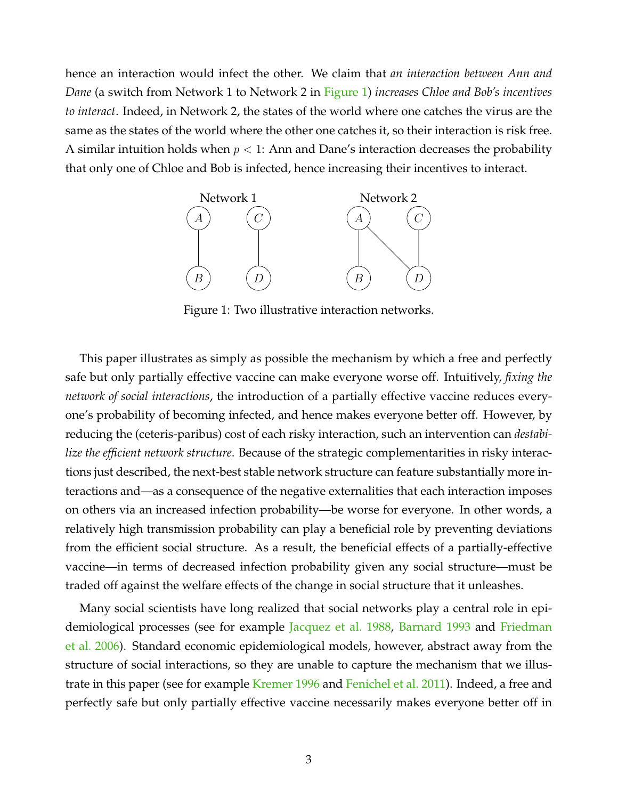hence an interaction would infect the other. We claim that *an interaction between Ann and Dane* (a switch from Network 1 to Network 2 in [Figure 1\)](#page-3-0) *increases Chloe and Bob's incentives to interact*. Indeed, in Network 2, the states of the world where one catches the virus are the same as the states of the world where the other one catches it, so their interaction is risk free. A similar intuition holds when  $p < 1$ : Ann and Dane's interaction decreases the probability that only one of Chloe and Bob is infected, hence increasing their incentives to interact.

<span id="page-3-0"></span>

Figure 1: Two illustrative interaction networks.

This paper illustrates as simply as possible the mechanism by which a free and perfectly safe but only partially effective vaccine can make everyone worse off. Intuitively, *fixing the network of social interactions*, the introduction of a partially effective vaccine reduces everyone's probability of becoming infected, and hence makes everyone better off. However, by reducing the (ceteris-paribus) cost of each risky interaction, such an intervention can *destabilize the efficient network structure*. Because of the strategic complementarities in risky interactions just described, the next-best stable network structure can feature substantially more interactions and—as a consequence of the negative externalities that each interaction imposes on others via an increased infection probability—be worse for everyone. In other words, a relatively high transmission probability can play a beneficial role by preventing deviations from the efficient social structure. As a result, the beneficial effects of a partially-effective vaccine—in terms of decreased infection probability given any social structure—must be traded off against the welfare effects of the change in social structure that it unleashes.

Many social scientists have long realized that social networks play a central role in epidemiological processes (see for example [Jacquez et al.](#page-16-1) [1988,](#page-16-1) [Barnard](#page-15-2) [1993](#page-15-2) and [Friedman](#page-15-3) [et al.](#page-15-3) [2006\)](#page-15-3). Standard economic epidemiological models, however, abstract away from the structure of social interactions, so they are unable to capture the mechanism that we illus-trate in this paper (see for example [Kremer](#page-16-2) [1996](#page-16-2) and [Fenichel et al.](#page-15-4) [2011\)](#page-15-4). Indeed, a free and perfectly safe but only partially effective vaccine necessarily makes everyone better off in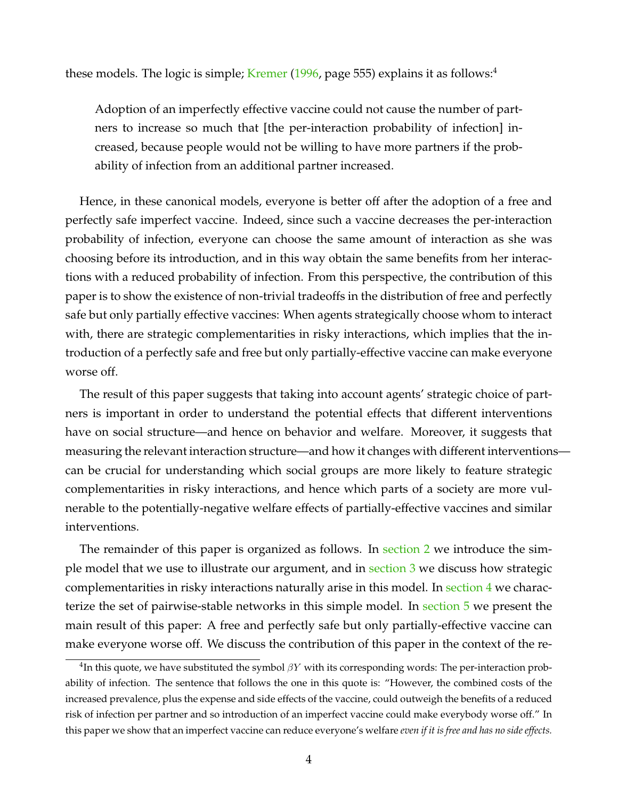these models. The logic is simple; [Kremer](#page-16-2) [\(1996,](#page-16-2) page 555) explains it as follows:<sup>[4](#page-4-0)</sup>

Adoption of an imperfectly effective vaccine could not cause the number of partners to increase so much that [the per-interaction probability of infection] increased, because people would not be willing to have more partners if the probability of infection from an additional partner increased.

Hence, in these canonical models, everyone is better off after the adoption of a free and perfectly safe imperfect vaccine. Indeed, since such a vaccine decreases the per-interaction probability of infection, everyone can choose the same amount of interaction as she was choosing before its introduction, and in this way obtain the same benefits from her interactions with a reduced probability of infection. From this perspective, the contribution of this paper is to show the existence of non-trivial tradeoffs in the distribution of free and perfectly safe but only partially effective vaccines: When agents strategically choose whom to interact with, there are strategic complementarities in risky interactions, which implies that the introduction of a perfectly safe and free but only partially-effective vaccine can make everyone worse off.

The result of this paper suggests that taking into account agents' strategic choice of partners is important in order to understand the potential effects that different interventions have on social structure—and hence on behavior and welfare. Moreover, it suggests that measuring the relevant interaction structure—and how it changes with different interventions can be crucial for understanding which social groups are more likely to feature strategic complementarities in risky interactions, and hence which parts of a society are more vulnerable to the potentially-negative welfare effects of partially-effective vaccines and similar interventions.

The remainder of this paper is organized as follows. In [section 2](#page-5-0) we introduce the simple model that we use to illustrate our argument, and in [section 3](#page-6-0) we discuss how strategic complementarities in risky interactions naturally arise in this model. In [section 4](#page-7-0) we characterize the set of pairwise-stable networks in this simple model. In [section 5](#page-9-0) we present the main result of this paper: A free and perfectly safe but only partially-effective vaccine can make everyone worse off. We discuss the contribution of this paper in the context of the re-

<span id="page-4-0"></span> ${}^{4}$ In this quote, we have substituted the symbol  $\beta Y$  with its corresponding words: The per-interaction probability of infection. The sentence that follows the one in this quote is: "However, the combined costs of the increased prevalence, plus the expense and side effects of the vaccine, could outweigh the benefits of a reduced risk of infection per partner and so introduction of an imperfect vaccine could make everybody worse off." In this paper we show that an imperfect vaccine can reduce everyone's welfare *even if it is free and has no side effects.*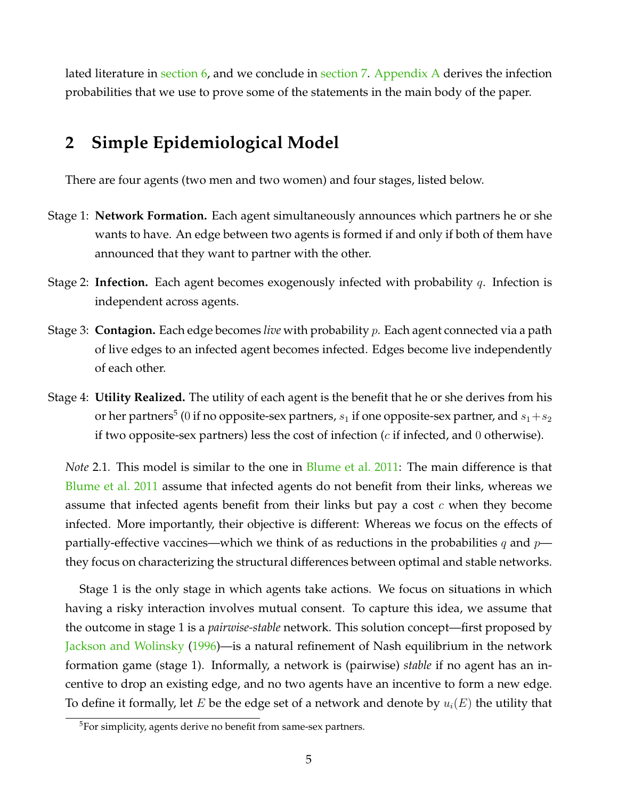lated literature in [section 6,](#page-9-1) and we conclude in [section 7.](#page-12-0) [Appendix A](#page-13-0) derives the infection probabilities that we use to prove some of the statements in the main body of the paper.

### <span id="page-5-0"></span>**2 Simple Epidemiological Model**

There are four agents (two men and two women) and four stages, listed below.

- Stage 1: **Network Formation.** Each agent simultaneously announces which partners he or she wants to have. An edge between two agents is formed if and only if both of them have announced that they want to partner with the other.
- Stage 2: **Infection.** Each agent becomes exogenously infected with probability q. Infection is independent across agents.
- Stage 3: **Contagion.** Each edge becomes *live* with probability p. Each agent connected via a path of live edges to an infected agent becomes infected. Edges become live independently of each other.
- Stage 4: **Utility Realized.** The utility of each agent is the benefit that he or she derives from his or her partners $^5$  $^5$  ( $0$  if no opposite-sex partners,  $s_1$  if one opposite-sex partner, and  $s_1\!+\!s_2$ if two opposite-sex partners) less the cost of infection  $(c$  if infected, and  $0$  otherwise).

*Note* 2.1*.* This model is similar to the one in [Blume et al.](#page-15-5) [2011:](#page-15-5) The main difference is that [Blume et al.](#page-15-5) [2011](#page-15-5) assume that infected agents do not benefit from their links, whereas we assume that infected agents benefit from their links but pay a cost  $c$  when they become infected. More importantly, their objective is different: Whereas we focus on the effects of partially-effective vaccines—which we think of as reductions in the probabilities q and  $p$  they focus on characterizing the structural differences between optimal and stable networks.

Stage 1 is the only stage in which agents take actions. We focus on situations in which having a risky interaction involves mutual consent. To capture this idea, we assume that the outcome in stage 1 is a *pairwise-stable* network. This solution concept—first proposed by [Jackson and Wolinsky](#page-16-3) [\(1996\)](#page-16-3)—is a natural refinement of Nash equilibrium in the network formation game (stage 1). Informally, a network is (pairwise) *stable* if no agent has an incentive to drop an existing edge, and no two agents have an incentive to form a new edge. To define it formally, let E be the edge set of a network and denote by  $u_i(E)$  the utility that

<span id="page-5-1"></span><sup>5</sup>For simplicity, agents derive no benefit from same-sex partners.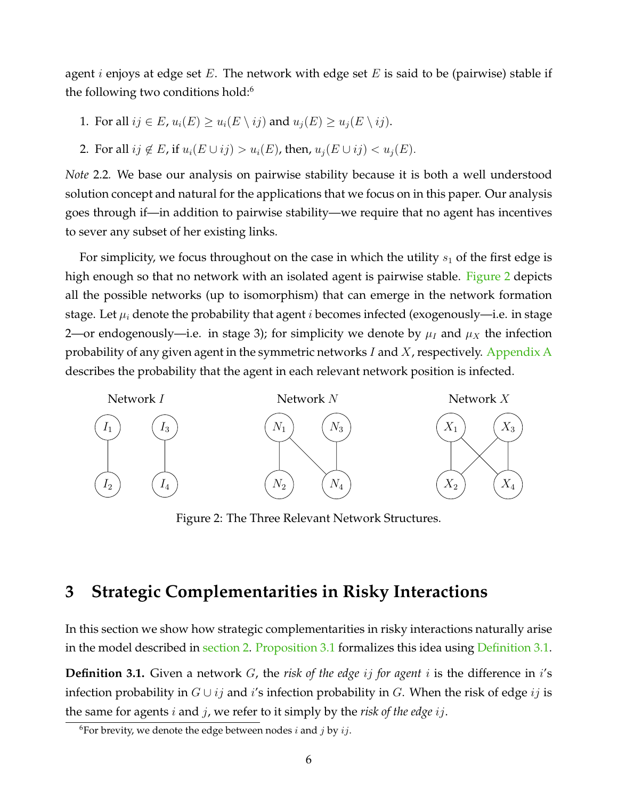agent *i* enjoys at edge set E. The network with edge set E is said to be (pairwise) stable if the following two conditions hold:<sup>[6](#page-6-1)</sup>

- 1. For all  $ij \in E$ ,  $u_i(E) \ge u_i(E \setminus ij)$  and  $u_i(E) \ge u_i(E \setminus ij)$ .
- 2. For all  $ij \notin E$ , if  $u_i(E \cup ij) > u_i(E)$ , then,  $u_i(E \cup ij) < u_i(E)$ .

*Note* 2.2*.* We base our analysis on pairwise stability because it is both a well understood solution concept and natural for the applications that we focus on in this paper. Our analysis goes through if—in addition to pairwise stability—we require that no agent has incentives to sever any subset of her existing links.

For simplicity, we focus throughout on the case in which the utility  $s_1$  of the first edge is high enough so that no network with an isolated agent is pairwise stable. [Figure 2](#page-6-2) depicts all the possible networks (up to isomorphism) that can emerge in the network formation stage. Let  $\mu_i$  denote the probability that agent *i* becomes infected (exogenously—i.e. in stage 2—or endogenously—i.e. in stage 3); for simplicity we denote by  $\mu_I$  and  $\mu_X$  the infection probability of any given agent in the symmetric networks I and  $X$ , respectively. [Appendix A](#page-13-0) describes the probability that the agent in each relevant network position is infected.

<span id="page-6-2"></span>

Figure 2: The Three Relevant Network Structures.

#### <span id="page-6-0"></span>**3 Strategic Complementarities in Risky Interactions**

In this section we show how strategic complementarities in risky interactions naturally arise in the model described in [section 2.](#page-5-0) [Proposition 3.1](#page-6-3) formalizes this idea using [Definition 3.1.](#page-6-4)

<span id="page-6-4"></span>**Definition 3.1.** Given a network G, the *risk of the edge ij for agent i* is the difference in *i*'s infection probability in  $G \cup ij$  and i's infection probability in G. When the risk of edge ij is the same for agents i and j, we refer to it simply by the *risk of the edge* ij.

<span id="page-6-3"></span><span id="page-6-1"></span><sup>&</sup>lt;sup>6</sup>For brevity, we denote the edge between nodes *i* and *j* by *ij*.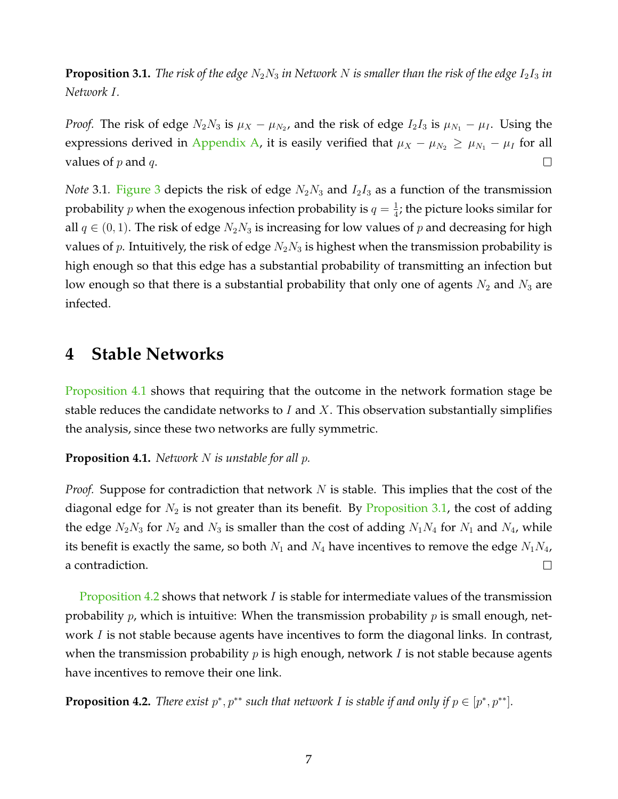**Proposition 3.1.** *The risk of the edge*  $N_2N_3$  *in Network* N *is smaller than the risk of the edge*  $I_2I_3$  *in Network* I*.*

*Proof.* The risk of edge  $N_2N_3$  is  $\mu_X - \mu_{N_2}$ , and the risk of edge  $I_2I_3$  is  $\mu_{N_1} - \mu_I$ . Using the expressions derived in [Appendix A,](#page-13-0) it is easily verified that  $\mu_X - \mu_{N_2} \ge \mu_{N_1} - \mu_I$  for all values of  $p$  and  $q$ .  $\Box$ 

*Note* 3.1*.* [Figure 3](#page-8-0) depicts the risk of edge  $N_2N_3$  and  $I_2I_3$  as a function of the transmission probability  $p$  when the exogenous infection probability is  $q=\frac{1}{4}$  $\frac{1}{4}$ ; the picture looks similar for all  $q \in (0, 1)$ . The risk of edge  $N_2N_3$  is increasing for low values of p and decreasing for high values of p. Intuitively, the risk of edge  $N_2N_3$  is highest when the transmission probability is high enough so that this edge has a substantial probability of transmitting an infection but low enough so that there is a substantial probability that only one of agents  $N_2$  and  $N_3$  are infected.

#### <span id="page-7-0"></span>**4 Stable Networks**

[Proposition 4.1](#page-7-1) shows that requiring that the outcome in the network formation stage be stable reduces the candidate networks to  $I$  and  $X$ . This observation substantially simplifies the analysis, since these two networks are fully symmetric.

<span id="page-7-1"></span>**Proposition 4.1.** *Network* N *is unstable for all* p*.*

*Proof.* Suppose for contradiction that network N is stable. This implies that the cost of the diagonal edge for  $N_2$  is not greater than its benefit. By [Proposition 3.1,](#page-6-3) the cost of adding the edge  $N_2N_3$  for  $N_2$  and  $N_3$  is smaller than the cost of adding  $N_1N_4$  for  $N_1$  and  $N_4$ , while its benefit is exactly the same, so both  $N_1$  and  $N_4$  have incentives to remove the edge  $N_1N_4$ , a contradiction.  $\Box$ 

[Proposition 4.2](#page-7-2) shows that network I is stable for intermediate values of the transmission probability  $p$ , which is intuitive: When the transmission probability  $p$  is small enough, network *I* is not stable because agents have incentives to form the diagonal links. In contrast, when the transmission probability  $p$  is high enough, network  $I$  is not stable because agents have incentives to remove their one link.

<span id="page-7-2"></span>**Proposition 4.2.** *There exist*  $p^*$ ,  $p^{**}$  such that network *I* is stable if and only if  $p \in [p^*, p^{**}]$ *.*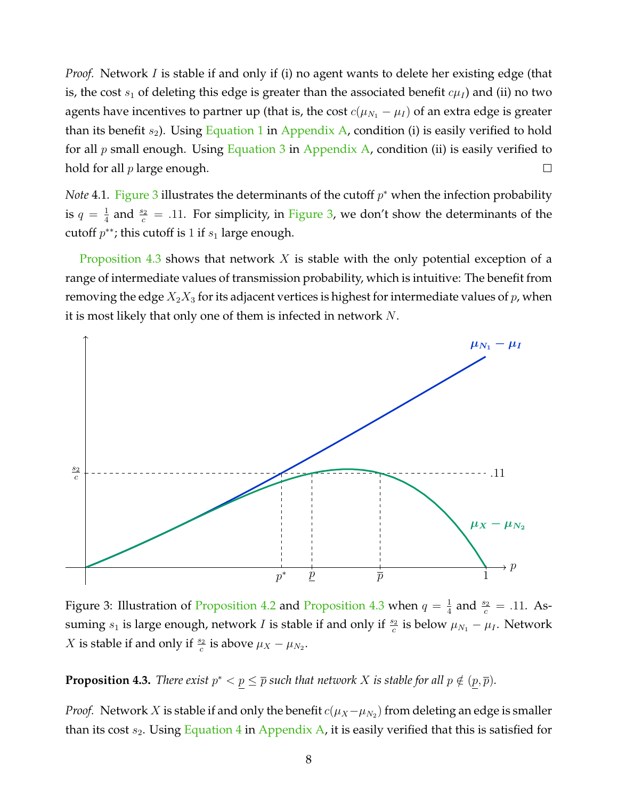*Proof.* Network I is stable if and only if (i) no agent wants to delete her existing edge (that is, the cost  $s_1$  of deleting this edge is greater than the associated benefit  $c\mu_I$ ) and (ii) no two agents have incentives to partner up (that is, the cost  $c(\mu_{N_1} - \mu_I)$  of an extra edge is greater than its benefit  $s_2$ ). Using [Equation 1](#page-13-1) in [Appendix A,](#page-13-0) condition (i) is easily verified to hold for all  $p$  small enough. Using [Equation 3](#page-13-2) in [Appendix A,](#page-13-0) condition (ii) is easily verified to  $\Box$ hold for all  $p$  large enough.

*Note* 4.1. [Figure 3](#page-8-0) illustrates the determinants of the cutoff  $p^*$  when the infection probability is  $q=\frac{1}{4}$  $\frac{1}{4}$  and  $\frac{s_2}{c}$  = .11. For simplicity, in [Figure 3,](#page-8-0) we don't show the determinants of the cutoff  $p^{**}$ ; this cutoff is 1 if  $s_1$  large enough.

[Proposition 4.3](#page-8-1) shows that network X is stable with the only potential exception of a range of intermediate values of transmission probability, which is intuitive: The benefit from removing the edge  $X_2X_3$  for its adjacent vertices is highest for intermediate values of p, when it is most likely that only one of them is infected in network N.

<span id="page-8-0"></span>

Figure 3: Illustration of [Proposition 4.2](#page-7-2) and [Proposition 4.3](#page-8-1) when  $q = \frac{1}{4}$  $\frac{1}{4}$  and  $\frac{s_2}{c} = .11$ . Assuming  $s_1$  is large enough, network I is stable if and only if  $\frac{s_2}{c}$  is below  $\mu_{N_1} - \mu_I$ . Network *X* is stable if and only if  $\frac{s_2}{c}$  is above  $\mu_X - \mu_{N_2}$ .

<span id="page-8-1"></span>**Proposition 4.3.** *There exist*  $p^* < p \leq \overline{p}$  such that network X is stable for all  $p \notin (p, \overline{p})$ .

*Proof.* Network X is stable if and only the benefit  $c(\mu_X - \mu_{N_2})$  from deleting an edge is smaller than its cost  $s_2$ . Using [Equation 4](#page-13-3) in [Appendix A,](#page-13-0) it is easily verified that this is satisfied for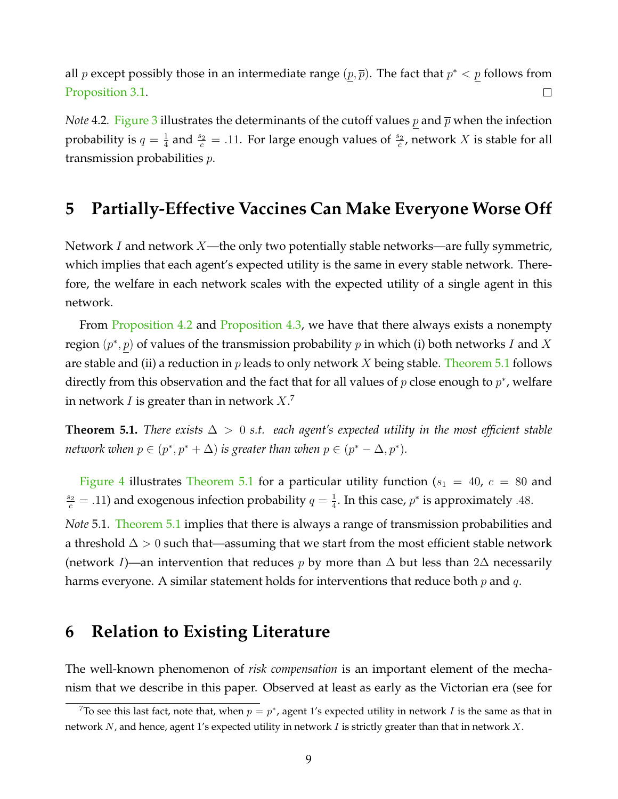all p except possibly those in an intermediate range  $(p, \bar{p})$ . The fact that  $p^* < p$  follows from [Proposition 3.1.](#page-6-3)  $\Box$ 

*Note* 4.2. [Figure 3](#page-8-0) illustrates the determinants of the cutoff values  $p$  and  $\bar{p}$  when the infection probability is  $q=\frac{1}{4}$  $\frac{1}{4}$  and  $\frac{s_2}{c}$  = .11. For large enough values of  $\frac{s_2}{c}$ , network X is stable for all transmission probabilities p.

#### <span id="page-9-0"></span>**5 Partially-Effective Vaccines Can Make Everyone Worse Off**

Network I and network  $X$ —the only two potentially stable networks—are fully symmetric, which implies that each agent's expected utility is the same in every stable network. Therefore, the welfare in each network scales with the expected utility of a single agent in this network.

From [Proposition 4.2](#page-7-2) and [Proposition 4.3,](#page-8-1) we have that there always exists a nonempty region  $(p^*, p)$  of values of the transmission probability  $p$  in which (i) both networks  $I$  and  $X$ are stable and (ii) a reduction in  $p$  leads to only network  $X$  being stable. [Theorem 5.1](#page-9-2) follows directly from this observation and the fact that for all values of  $p$  close enough to  $p^*$ , welfare in network  $I$  is greater than in network  $X_\cdot{}^7$  $X_\cdot{}^7$ 

<span id="page-9-2"></span>**Theorem 5.1.** *There exists* ∆ > 0 *s.t. each agent's expected utility in the most efficient stable network when*  $p \in (p^*, p^* + \Delta)$  *is greater than when*  $p \in (p^* - \Delta, p^*)$ *.* 

[Figure 4](#page-10-0) illustrates [Theorem 5.1](#page-9-2) for a particular utility function ( $s_1 = 40$ ,  $c = 80$  and  $\frac{s_2}{c}$  = .11) and exogenous infection probability  $q=\frac{1}{4}$  $\frac{1}{4}$ . In this case,  $p^*$  is approximately .48.

*Note* 5.1*.* [Theorem 5.1](#page-9-2) implies that there is always a range of transmission probabilities and a threshold  $\Delta > 0$  such that—assuming that we start from the most efficient stable network (network I)—an intervention that reduces p by more than  $\Delta$  but less than 2 $\Delta$  necessarily harms everyone. A similar statement holds for interventions that reduce both  $p$  and  $q$ .

#### <span id="page-9-1"></span>**6 Relation to Existing Literature**

The well-known phenomenon of *risk compensation* is an important element of the mechanism that we describe in this paper. Observed at least as early as the Victorian era (see for

<span id="page-9-3"></span><sup>&</sup>lt;sup>7</sup>To see this last fact, note that, when  $p = p^*$ , agent 1's expected utility in network I is the same as that in network  $N$ , and hence, agent 1's expected utility in network  $I$  is strictly greater than that in network  $X$ .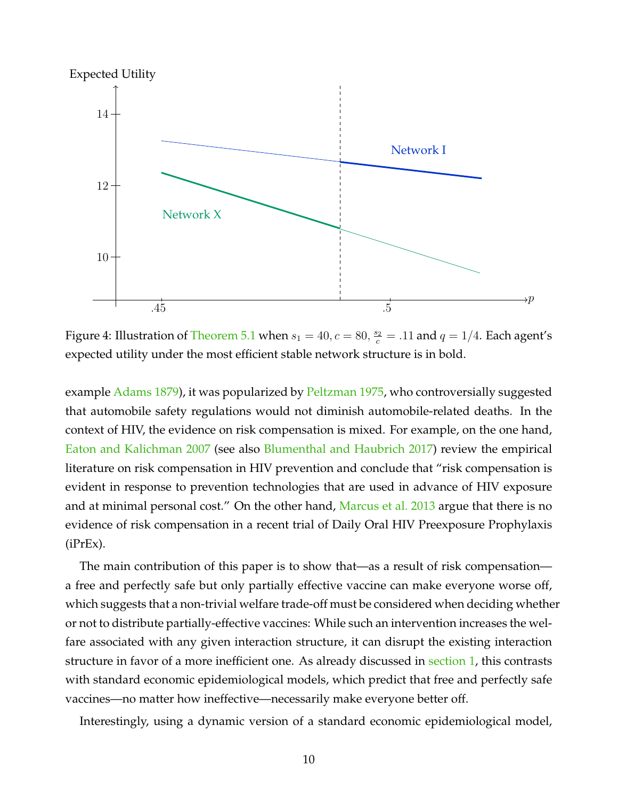<span id="page-10-0"></span>

Figure 4: Illustration of [Theorem 5.1](#page-9-2) when  $s_1 = 40, c = 80, \frac{s_2}{c} = .11$  and  $q = 1/4$ . Each agent's expected utility under the most efficient stable network structure is in bold.

example [Adams](#page-15-6) [1879\)](#page-15-6), it was popularized by [Peltzman](#page-16-4) [1975,](#page-16-4) who controversially suggested that automobile safety regulations would not diminish automobile-related deaths. In the context of HIV, the evidence on risk compensation is mixed. For example, on the one hand, [Eaton and Kalichman](#page-15-7) [2007](#page-15-7) (see also [Blumenthal and Haubrich](#page-15-8) [2017\)](#page-15-8) review the empirical literature on risk compensation in HIV prevention and conclude that "risk compensation is evident in response to prevention technologies that are used in advance of HIV exposure and at minimal personal cost." On the other hand, [Marcus et al.](#page-16-5) [2013](#page-16-5) argue that there is no evidence of risk compensation in a recent trial of Daily Oral HIV Preexposure Prophylaxis (iPrEx).

The main contribution of this paper is to show that—as a result of risk compensation a free and perfectly safe but only partially effective vaccine can make everyone worse off, which suggests that a non-trivial welfare trade-off must be considered when deciding whether or not to distribute partially-effective vaccines: While such an intervention increases the welfare associated with any given interaction structure, it can disrupt the existing interaction structure in favor of a more inefficient one. As already discussed in [section 1,](#page-2-3) this contrasts with standard economic epidemiological models, which predict that free and perfectly safe vaccines—no matter how ineffective—necessarily make everyone better off.

Interestingly, using a dynamic version of a standard economic epidemiological model,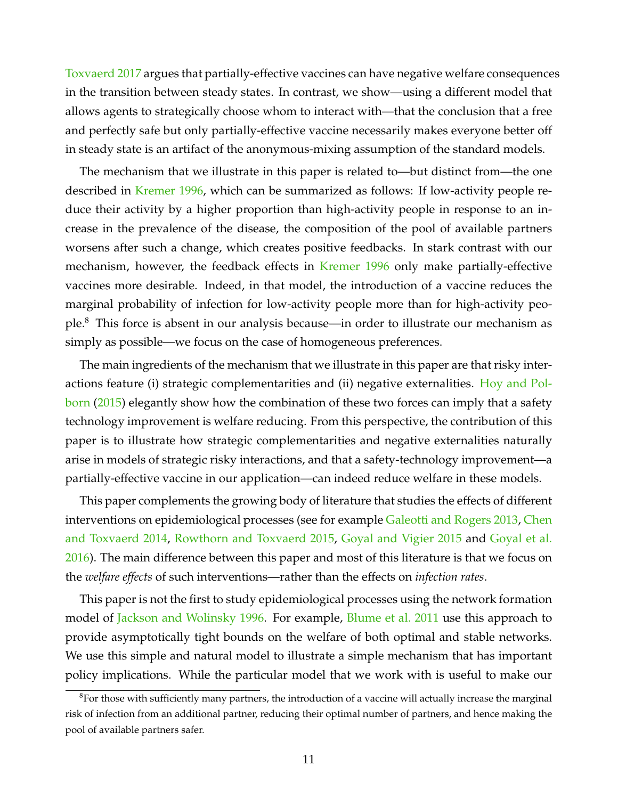[Toxvaerd](#page-16-6) [2017](#page-16-6) argues that partially-effective vaccines can have negative welfare consequences in the transition between steady states. In contrast, we show—using a different model that allows agents to strategically choose whom to interact with—that the conclusion that a free and perfectly safe but only partially-effective vaccine necessarily makes everyone better off in steady state is an artifact of the anonymous-mixing assumption of the standard models.

The mechanism that we illustrate in this paper is related to—but distinct from—the one described in [Kremer](#page-16-2) [1996,](#page-16-2) which can be summarized as follows: If low-activity people reduce their activity by a higher proportion than high-activity people in response to an increase in the prevalence of the disease, the composition of the pool of available partners worsens after such a change, which creates positive feedbacks. In stark contrast with our mechanism, however, the feedback effects in [Kremer](#page-16-2) [1996](#page-16-2) only make partially-effective vaccines more desirable. Indeed, in that model, the introduction of a vaccine reduces the marginal probability of infection for low-activity people more than for high-activity people.[8](#page-11-0) This force is absent in our analysis because—in order to illustrate our mechanism as simply as possible—we focus on the case of homogeneous preferences.

The main ingredients of the mechanism that we illustrate in this paper are that risky interactions feature (i) strategic complementarities and (ii) negative externalities. [Hoy and Pol](#page-16-7)[born](#page-16-7) [\(2015\)](#page-16-7) elegantly show how the combination of these two forces can imply that a safety technology improvement is welfare reducing. From this perspective, the contribution of this paper is to illustrate how strategic complementarities and negative externalities naturally arise in models of strategic risky interactions, and that a safety-technology improvement—a partially-effective vaccine in our application—can indeed reduce welfare in these models.

This paper complements the growing body of literature that studies the effects of different interventions on epidemiological processes (see for example [Galeotti and Rogers](#page-15-9) [2013,](#page-15-9) [Chen](#page-15-10) [and Toxvaerd](#page-15-10) [2014,](#page-15-10) [Rowthorn and Toxvaerd](#page-16-8) [2015,](#page-16-8) [Goyal and Vigier](#page-16-9) [2015](#page-16-9) and [Goyal et al.](#page-16-10) [2016\)](#page-16-10). The main difference between this paper and most of this literature is that we focus on the *welfare effects* of such interventions—rather than the effects on *infection rates*.

This paper is not the first to study epidemiological processes using the network formation model of [Jackson and Wolinsky](#page-16-3) [1996.](#page-16-3) For example, [Blume et al.](#page-15-5) [2011](#page-15-5) use this approach to provide asymptotically tight bounds on the welfare of both optimal and stable networks. We use this simple and natural model to illustrate a simple mechanism that has important policy implications. While the particular model that we work with is useful to make our

<span id="page-11-0"></span> ${}^{8}$ For those with sufficiently many partners, the introduction of a vaccine will actually increase the marginal risk of infection from an additional partner, reducing their optimal number of partners, and hence making the pool of available partners safer.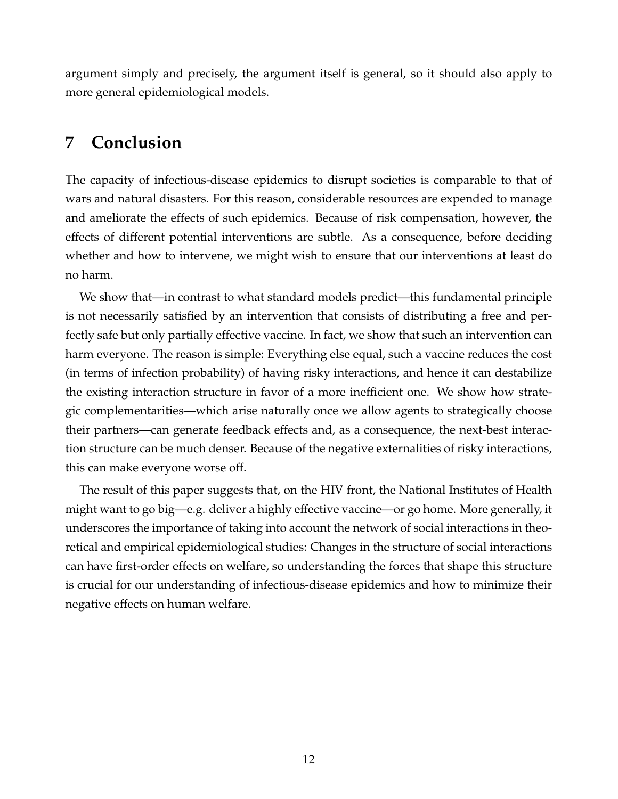argument simply and precisely, the argument itself is general, so it should also apply to more general epidemiological models.

#### <span id="page-12-0"></span>**7 Conclusion**

The capacity of infectious-disease epidemics to disrupt societies is comparable to that of wars and natural disasters. For this reason, considerable resources are expended to manage and ameliorate the effects of such epidemics. Because of risk compensation, however, the effects of different potential interventions are subtle. As a consequence, before deciding whether and how to intervene, we might wish to ensure that our interventions at least do no harm.

We show that—in contrast to what standard models predict—this fundamental principle is not necessarily satisfied by an intervention that consists of distributing a free and perfectly safe but only partially effective vaccine. In fact, we show that such an intervention can harm everyone. The reason is simple: Everything else equal, such a vaccine reduces the cost (in terms of infection probability) of having risky interactions, and hence it can destabilize the existing interaction structure in favor of a more inefficient one. We show how strategic complementarities—which arise naturally once we allow agents to strategically choose their partners—can generate feedback effects and, as a consequence, the next-best interaction structure can be much denser. Because of the negative externalities of risky interactions, this can make everyone worse off.

The result of this paper suggests that, on the HIV front, the National Institutes of Health might want to go big—e.g. deliver a highly effective vaccine—or go home. More generally, it underscores the importance of taking into account the network of social interactions in theoretical and empirical epidemiological studies: Changes in the structure of social interactions can have first-order effects on welfare, so understanding the forces that shape this structure is crucial for our understanding of infectious-disease epidemics and how to minimize their negative effects on human welfare.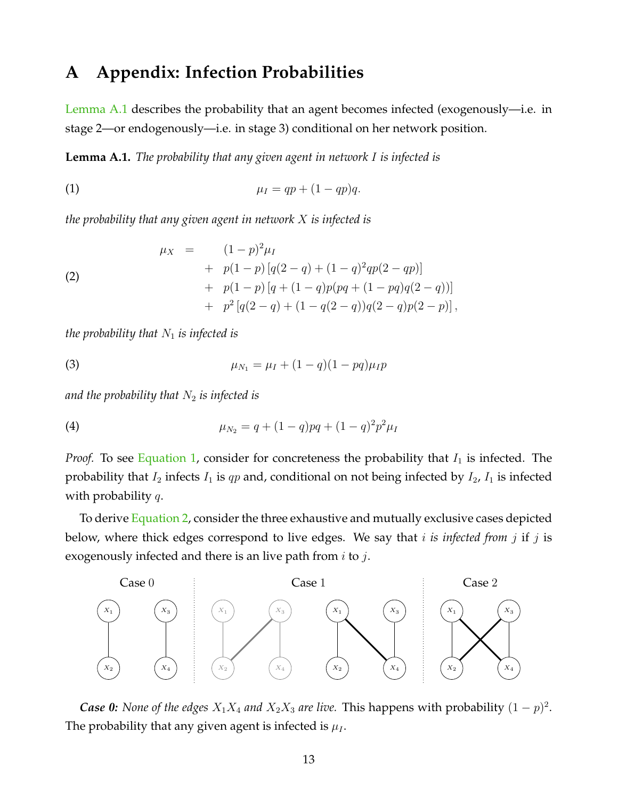#### <span id="page-13-0"></span>**A Appendix: Infection Probabilities**

[Lemma A.1](#page-13-4) describes the probability that an agent becomes infected (exogenously—i.e. in stage 2—or endogenously—i.e. in stage 3) conditional on her network position.

<span id="page-13-4"></span>**Lemma A.1.** *The probability that any given agent in network* I *is infected is*

<span id="page-13-1"></span>
$$
\mu_I = qp + (1 - qp)q.
$$

*the probability that any given agent in network* X *is infected is*

<span id="page-13-5"></span>(2)  
\n
$$
\mu_X = (1-p)^2 \mu_I
$$
\n
$$
+ p(1-p) [q(2-q) + (1-q)^2 qp(2-qp)]
$$
\n
$$
+ p(1-p) [q + (1-q)p(pq + (1-pq)q(2-q))] \\
+ p^2 [q(2-q) + (1-q(2-q))q(2-q)p(2-p)],
$$

*the probability that*  $N_1$  *is infected is* 

<span id="page-13-2"></span>(3) 
$$
\mu_{N_1} = \mu_I + (1-q)(1-pq)\mu_I p
$$

and the probability that  $N_2$  *is infected is* 

<span id="page-13-3"></span>(4) 
$$
\mu_{N_2} = q + (1-q)pq + (1-q)^2 p^2 \mu_I
$$

*Proof.* To see [Equation 1,](#page-13-1) consider for concreteness the probability that  $I_1$  is infected. The probability that  $I_2$  infects  $I_1$  is  $qp$  and, conditional on not being infected by  $I_2$ ,  $I_1$  is infected with probability  $q$ .

To derive [Equation 2,](#page-13-5) consider the three exhaustive and mutually exclusive cases depicted below, where thick edges correspond to live edges. We say that i *is infected from* j if j is exogenously infected and there is an live path from  $i$  to  $j$ .



*Case 0: None of the edges*  $X_1 X_4$  *and*  $X_2 X_3$  *are live.* This happens with probability  $(1 - p)^2$ . The probability that any given agent is infected is  $\mu_I$ .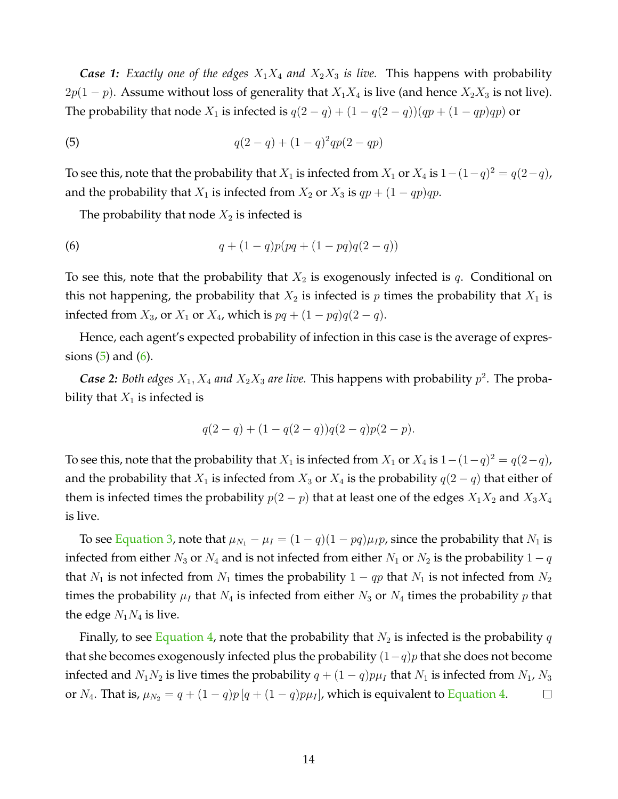*Case 1: Exactly one of the edges*  $X_1X_4$  *and*  $X_2X_3$  *is live.* This happens with probability  $2p(1-p)$ . Assume without loss of generality that  $X_1X_4$  is live (and hence  $X_2X_3$  is not live). The probability that node  $X_1$  is infected is  $q(2 - q) + (1 - q(2 - q))(qp + (1 - qp)qp)$  or

<span id="page-14-0"></span>(5) 
$$
q(2-q) + (1-q)^2qp(2-qp)
$$

To see this, note that the probability that  $X_1$  is infected from  $X_1$  or  $X_4$  is  $1-(1-q)^2 = q(2-q)$ , and the probability that  $X_1$  is infected from  $X_2$  or  $X_3$  is  $qp + (1 - qp)qp$ .

<span id="page-14-1"></span>The probability that node  $X_2$  is infected is

(6) 
$$
q + (1 - q)p(pq + (1 - pq)q(2 - q))
$$

To see this, note that the probability that  $X_2$  is exogenously infected is q. Conditional on this not happening, the probability that  $X_2$  is infected is p times the probability that  $X_1$  is infected from  $X_3$ , or  $X_1$  or  $X_4$ , which is  $pq + (1 - pq)q(2 - q)$ .

Hence, each agent's expected probability of infection in this case is the average of expressions  $(5)$  and  $(6)$ .

*Case 2: Both edges*  $X_1, X_4$  *and*  $X_2X_3$  *are live.* This happens with probability  $p^2$ . The probability that  $X_1$  is infected is

$$
q(2-q) + (1 - q(2-q))q(2-q)p(2-p).
$$

To see this, note that the probability that  $X_1$  is infected from  $X_1$  or  $X_4$  is  $1-(1-q)^2 = q(2-q)$ , and the probability that  $X_1$  is infected from  $X_3$  or  $X_4$  is the probability  $q(2 - q)$  that either of them is infected times the probability  $p(2 - p)$  that at least one of the edges  $X_1X_2$  and  $X_3X_4$ is live.

To see [Equation 3,](#page-13-2) note that  $\mu_{N_1} - \mu_I = (1 - q)(1 - pq)\mu_I p$ , since the probability that  $N_1$  is infected from either  $N_3$  or  $N_4$  and is not infected from either  $N_1$  or  $N_2$  is the probability  $1 - q$ that  $N_1$  is not infected from  $N_1$  times the probability  $1 - qp$  that  $N_1$  is not infected from  $N_2$ times the probability  $\mu_I$  that  $N_4$  is infected from either  $N_3$  or  $N_4$  times the probability  $p$  that the edge  $N_1N_4$  is live.

Finally, to see [Equation 4,](#page-13-3) note that the probability that  $N_2$  is infected is the probability q that she becomes exogenously infected plus the probability  $(1-q)p$  that she does not become infected and  $N_1N_2$  is live times the probability  $q + (1 - q)p\mu_I$  that  $N_1$  is infected from  $N_1$ ,  $N_3$ or  $N_4$ . That is,  $\mu_{N_2} = q + (1 - q)p[q + (1 - q)p\mu_I]$ , which is equivalent to [Equation 4.](#page-13-3)  $\Box$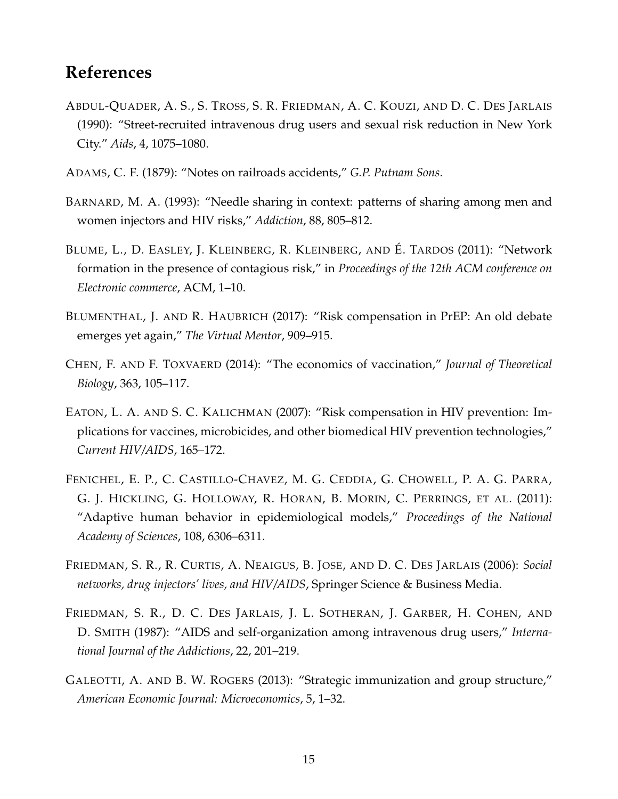### **References**

- <span id="page-15-1"></span>ABDUL-QUADER, A. S., S. TROSS, S. R. FRIEDMAN, A. C. KOUZI, AND D. C. DES JARLAIS (1990): "Street-recruited intravenous drug users and sexual risk reduction in New York City." *Aids*, 4, 1075–1080.
- <span id="page-15-6"></span>ADAMS, C. F. (1879): "Notes on railroads accidents," *G.P. Putnam Sons*.
- <span id="page-15-2"></span>BARNARD, M. A. (1993): "Needle sharing in context: patterns of sharing among men and women injectors and HIV risks," *Addiction*, 88, 805–812.
- <span id="page-15-5"></span>BLUME, L., D. EASLEY, J. KLEINBERG, R. KLEINBERG, AND É. TARDOS (2011): "Network formation in the presence of contagious risk," in *Proceedings of the 12th ACM conference on Electronic commerce*, ACM, 1–10.
- <span id="page-15-8"></span>BLUMENTHAL, J. AND R. HAUBRICH (2017): "Risk compensation in PrEP: An old debate emerges yet again," *The Virtual Mentor*, 909–915.
- <span id="page-15-10"></span>CHEN, F. AND F. TOXVAERD (2014): "The economics of vaccination," *Journal of Theoretical Biology*, 363, 105–117.
- <span id="page-15-7"></span>EATON, L. A. AND S. C. KALICHMAN (2007): "Risk compensation in HIV prevention: Implications for vaccines, microbicides, and other biomedical HIV prevention technologies," *Current HIV/AIDS*, 165–172.
- <span id="page-15-4"></span>FENICHEL, E. P., C. CASTILLO-CHAVEZ, M. G. CEDDIA, G. CHOWELL, P. A. G. PARRA, G. J. HICKLING, G. HOLLOWAY, R. HORAN, B. MORIN, C. PERRINGS, ET AL. (2011): "Adaptive human behavior in epidemiological models," *Proceedings of the National Academy of Sciences*, 108, 6306–6311.
- <span id="page-15-3"></span>FRIEDMAN, S. R., R. CURTIS, A. NEAIGUS, B. JOSE, AND D. C. DES JARLAIS (2006): *Social networks, drug injectors' lives, and HIV/AIDS*, Springer Science & Business Media.
- <span id="page-15-0"></span>FRIEDMAN, S. R., D. C. DES JARLAIS, J. L. SOTHERAN, J. GARBER, H. COHEN, AND D. SMITH (1987): "AIDS and self-organization among intravenous drug users," *International Journal of the Addictions*, 22, 201–219.
- <span id="page-15-9"></span>GALEOTTI, A. AND B. W. ROGERS (2013): "Strategic immunization and group structure," *American Economic Journal: Microeconomics*, 5, 1–32.